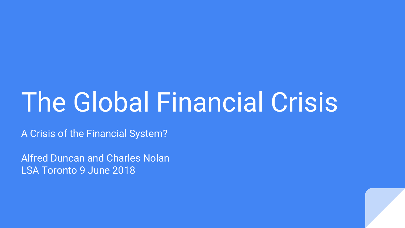# The Global Financial Crisis

A Crisis of the Financial System?

Alfred Duncan and Charles Nolan LSA Toronto 9 June 2018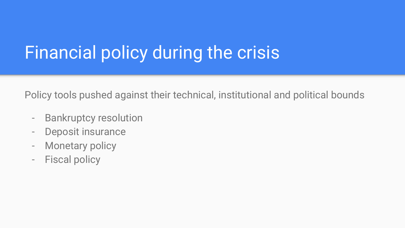## Financial policy during the crisis

Policy tools pushed against their technical, institutional and political bounds

- Bankruptcy resolution
- Deposit insurance
- Monetary policy
- Fiscal policy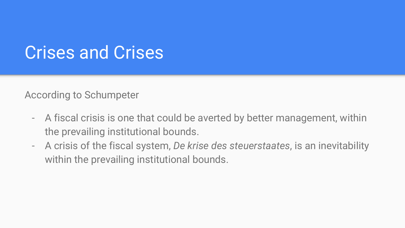#### Crises and Crises

According to Schumpeter

- A fiscal crisis is one that could be averted by better management, within the prevailing institutional bounds.
- A crisis of the fiscal system, *De krise des steuerstaates*, is an inevitability within the prevailing institutional bounds.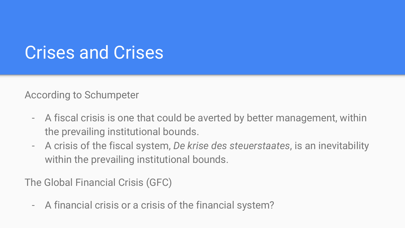#### Crises and Crises

According to Schumpeter

- A fiscal crisis is one that could be averted by better management, within the prevailing institutional bounds.
- A crisis of the fiscal system, *De krise des steuerstaates*, is an inevitability within the prevailing institutional bounds.

The Global Financial Crisis (GFC)

- A financial crisis or a crisis of the financial system?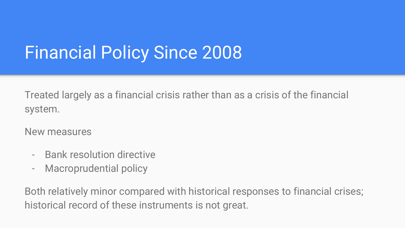# Financial Policy Since 2008

Treated largely as a financial crisis rather than as a crisis of the financial system.

New measures

- Bank resolution directive
- Macroprudential policy

Both relatively minor compared with historical responses to financial crises; historical record of these instruments is not great.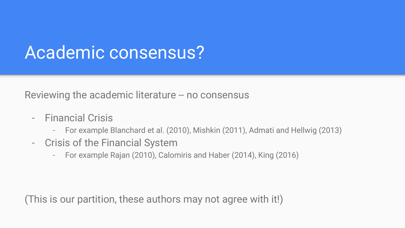#### Academic consensus?

Reviewing the academic literature -- no consensus

- Financial Crisis
	- For example Blanchard et al. (2010), Mishkin (2011), Admati and Hellwig (2013)
- Crisis of the Financial System
	- For example Rajan (2010), Calomiris and Haber (2014), King (2016)

(This is our partition, these authors may not agree with it!)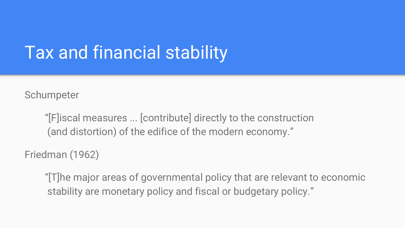## Tax and financial stability

**Schumpeter** 

"[F]iscal measures ... [contribute] directly to the construction (and distortion) of the edifice of the modern economy."

Friedman (1962)

"[T]he major areas of governmental policy that are relevant to economic stability are monetary policy and fiscal or budgetary policy."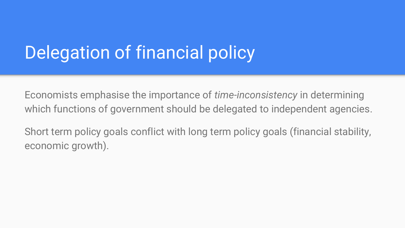## Delegation of financial policy

Economists emphasise the importance of *time-inconsistency* in determining which functions of government should be delegated to independent agencies.

Short term policy goals conflict with long term policy goals (financial stability, economic growth).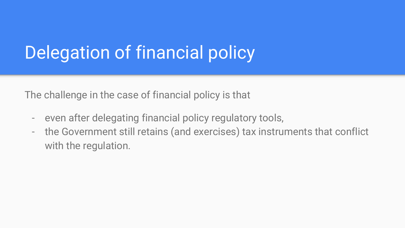# Delegation of financial policy

The challenge in the case of financial policy is that

- even after delegating financial policy regulatory tools,
- the Government still retains (and exercises) tax instruments that conflict with the regulation.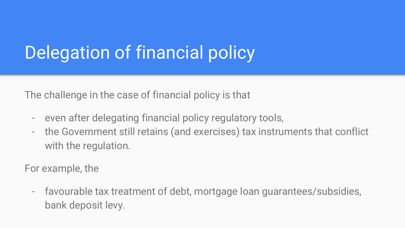# Delegation of financial policy

The challenge in the case of financial policy is that

- even after delegating financial policy regulatory tools,
- the Government still retains (and exercises) tax instruments that conflict with the regulation.

For example, the

- favourable tax treatment of debt, mortgage loan guarantees/subsidies, bank deposit levy.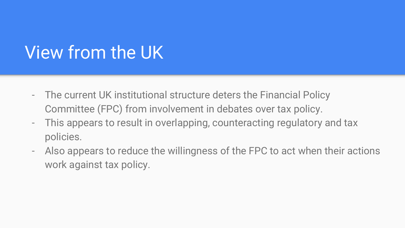## View from the UK

- The current UK institutional structure deters the Financial Policy Committee (FPC) from involvement in debates over tax policy.
- This appears to result in overlapping, counteracting regulatory and tax policies.
- Also appears to reduce the willingness of the FPC to act when their actions work against tax policy.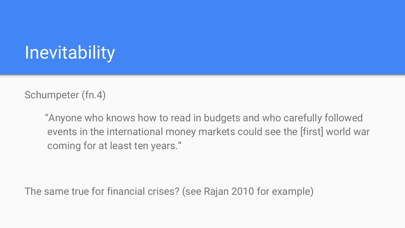## **Inevitability**

Schumpeter (fn.4)

"Anyone who knows how to read in budgets and who carefully followed events in the international money markets could see the [first] world war coming for at least ten years."

The same true for financial crises? (see Rajan 2010 for example)